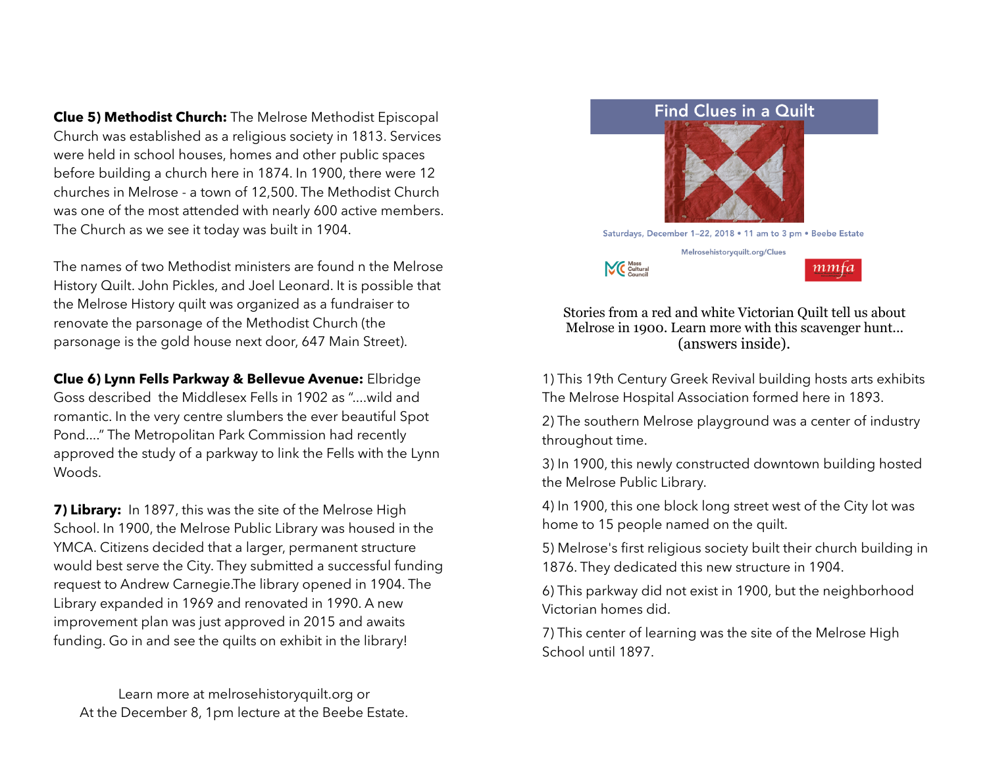**Clue 5) Methodist Church:** The Melrose Methodist Episcopal Church was established as a religious society in 1813. Services were held in school houses, homes and other public spaces before building a church here in 1874. In 1900, there were 12 churches in Melrose - a town of 12,500. The Methodist Church was one of the most attended with nearly 600 active members. The Church as we see it today was built in 1904.

The names of two Methodist ministers are found n the Melrose History Quilt. John Pickles, and Joel Leonard. It is possible that the Melrose History quilt was organized as a fundraiser to renovate the parsonage of the Methodist Church (the parsonage is the gold house next door, 647 Main Street).

**Clue 6) Lynn Fells Parkway & Bellevue Avenue:** Elbridge Goss described the Middlesex Fells in 1902 as "....wild and romantic. In the very centre slumbers the ever beautiful Spot Pond...." The Metropolitan Park Commission had recently approved the study of a parkway to link the Fells with the Lynn Woods.

**7) Library:** In 1897, this was the site of the Melrose High School. In 1900, the Melrose Public Library was housed in the YMCA. Citizens decided that a larger, permanent structure would best serve the City. They submitted a successful funding request to Andrew Carnegie.The library opened in 1904. The Library expanded in 1969 and renovated in 1990. A new improvement plan was just approved in 2015 and awaits funding. Go in and see the quilts on exhibit in the library!

Learn more at melrosehistoryquilt.org or At the December 8, 1pm lecture at the Beebe Estate.



Stories from a red and white Victorian Quilt tell us about Melrose in 1900. Learn more with this scavenger hunt... (answers inside).

1) This 19th Century Greek Revival building hosts arts exhibits The Melrose Hospital Association formed here in 1893.

2) The southern Melrose playground was a center of industry throughout time.

3) In 1900, this newly constructed downtown building hosted the Melrose Public Library.

4) In 1900, this one block long street west of the City lot was home to 15 people named on the quilt.

5) Melrose's first religious society built their church building in 1876. They dedicated this new structure in 1904.

6) This parkway did not exist in 1900, but the neighborhood Victorian homes did.

7) This center of learning was the site of the Melrose High School until 1897.